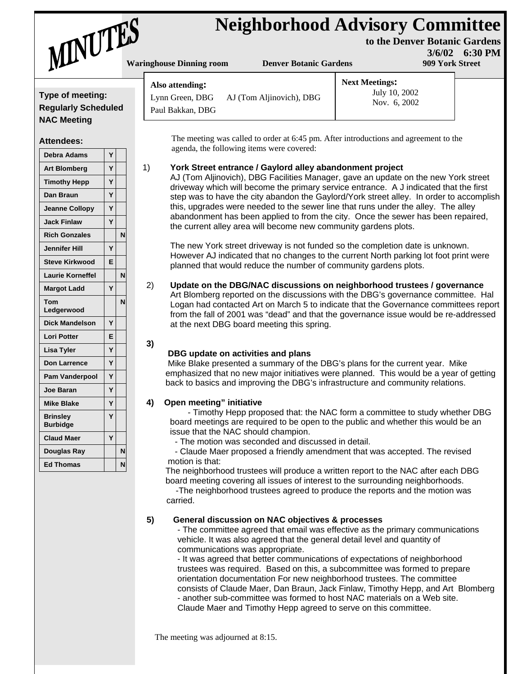# **Neighborhood Advisory Committee** Waringhouse Dinning room Denver Botanic Gardens 1999 York Street

**Next Meetings:** 

July 10, 2002 Nov. 6, 2002

**to the Denver Botanic Gardens 3/6/02 6:30 PM**



**Also attending:** 

Paul Bakkan, DBG

**Type of meeting: Regularly Scheduled NAC Meeting**

#### **Attendees:**

| <b>Debra Adams</b>                 | Y |   |  |
|------------------------------------|---|---|--|
| <b>Art Blomberg</b>                | Ý |   |  |
| <b>Timothy Hepp</b>                | Ý |   |  |
| Dan Braun                          | Ý |   |  |
| <b>Jeanne Collopy</b>              | Ý |   |  |
| <b>Jack Finlaw</b>                 | Ý |   |  |
| <b>Rich Gonzales</b>               |   | N |  |
| <b>Jennifer Hill</b>               | Ý |   |  |
| <b>Steve Kirkwood</b>              | E |   |  |
| <b>Laurie Korneffel</b>            |   | N |  |
| <b>Margot Ladd</b>                 | Ý |   |  |
| Tom<br>Ledgerwood                  |   | N |  |
| <b>Dick Mandelson</b>              | Ý |   |  |
| <b>Lori Potter</b>                 | E |   |  |
| Lisa Tyler                         | Y |   |  |
| <b>Don Larrence</b>                | Ý |   |  |
| <b>Pam Vanderpool</b>              | Ý |   |  |
| <b>Joe Baran</b>                   | Ý |   |  |
| <b>Mike Blake</b>                  | Ý |   |  |
| <b>Brinsley</b><br><b>Burbidge</b> | Ý |   |  |
| <b>Claud Maer</b>                  | Ý |   |  |
| Douglas Ray                        |   | N |  |
| <b>Ed Thomas</b>                   |   | N |  |

 The meeting was called to order at 6:45 pm. After introductions and agreement to the agenda, the following items were covered:

#### 1) **York Street entrance / Gaylord alley abandonment project**

AJ (Tom Aljinovich), DBG Facilities Manager, gave an update on the new York street driveway which will become the primary service entrance. A J indicated that the first step was to have the city abandon the Gaylord/York street alley. In order to accomplish this, upgrades were needed to the sewer line that runs under the alley. The alley abandonment has been applied to from the city. Once the sewer has been repaired, the current alley area will become new community gardens plots.

The new York street driveway is not funded so the completion date is unknown. However AJ indicated that no changes to the current North parking lot foot print were planned that would reduce the number of community gardens plots.

2) **Update on the DBG/NAC discussions on neighborhood trustees / governance** Art Blomberg reported on the discussions with the DBG's governance committee. Hal Logan had contacted Art on March 5 to indicate that the Governance committees report from the fall of 2001 was "dead" and that the governance issue would be re-addressed at the next DBG board meeting this spring.

## **DBG update on activities and plans**

Lynn Green, DBG AJ (Tom Aljinovich), DBG

 Mike Blake presented a summary of the DBG's plans for the current year. Mike emphasized that no new major initiatives were planned. This would be a year of getting back to basics and improving the DBG's infrastructure and community relations.

## **4) Open meeting" initiative**

**3)** 

 - Timothy Hepp proposed that: the NAC form a committee to study whether DBG board meetings are required to be open to the public and whether this would be an issue that the NAC should champion.

- The motion was seconded and discussed in detail.

 - Claude Maer proposed a friendly amendment that was accepted. The revised motion is that:

 The neighborhood trustees will produce a written report to the NAC after each DBG board meeting covering all issues of interest to the surrounding neighborhoods.

 -The neighborhood trustees agreed to produce the reports and the motion was carried.

## **5) General discussion on NAC objectives & processes**

 - The committee agreed that email was effective as the primary communications vehicle. It was also agreed that the general detail level and quantity of communications was appropriate.

 - It was agreed that better communications of expectations of neighborhood trustees was required. Based on this, a subcommittee was formed to prepare orientation documentation For new neighborhood trustees. The committee consists of Claude Maer, Dan Braun, Jack Finlaw, Timothy Hepp, and Art Blomberg - another sub-committee was formed to host NAC materials on a Web site. Claude Maer and Timothy Hepp agreed to serve on this committee.